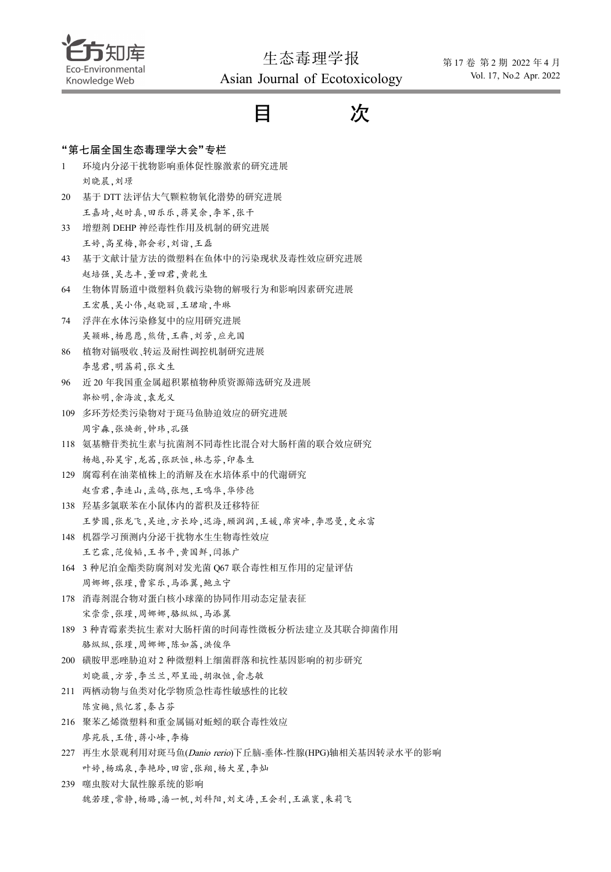

生态毒理学报 Asian Journal of Ecotoxicology

|              | <br>$\cdots$ bj                      |
|--------------|--------------------------------------|
|              | 次<br>E                               |
|              | "第七届全国生态毒理学大会"专栏                     |
| $\mathbf{1}$ | 环境内分泌干扰物影响垂体促性腺激素的研究进展               |
|              | 刘晓晨,刘璟                               |
| 20           | 基于 DTT 法评估大气颗粒物氧化潜势的研究进展             |
|              | 王嘉琦,赵时真,田乐乐,蒋昊余,李军,张干                |
| 33           | 增塑剂 DEHP 神经毒性作用及机制的研究进展              |
|              | 王婷,高星梅,郭会彩,刘诣,王磊                     |
| 43           | 基于文献计量方法的微塑料在鱼体中的污染现状及毒性效应研究进展       |
|              | 赵培强,吴志丰,董四君,黄乾生                      |
| 64           | 生物体胃肠道中微塑料负载污染物的解吸行为和影响因素研究进展        |
|              | 王宏展,吴小伟,赵晓丽,王珺瑜,牛琳                   |
| 74           | 浮萍在水体污染修复中的应用研究进展                    |
|              | 吴颖琳,杨愿愿,熊倩,王犇,刘芳,应光国                 |
| 86           | 植物对镉吸收、转运及耐性调控机制研究进展                 |
|              | 李慧君,明荔莉,张文生                          |
| 96           | 近20年我国重金属超积累植物种质资源筛选研究及进展            |
|              | 郭松明,余海波,袁龙义                          |
| 109          | 多环芳烃类污染物对于斑马鱼胁迫效应的研究进展               |
|              | 周宇森,张焕新,钟玮,孔强                        |
| 118          | 氨基糖苷类抗生素与抗菌剂不同毒性比混合对大肠杆菌的联合效应研究      |
|              | 杨越,孙昊宇,龙茜,张跃恒,林志芬,印春生                |
| 129          | 腐霉利在油菜植株上的消解及在水培体系中的代谢研究             |
|              | 赵雪君,李连山,孟鸽,张旭,王鸣华,华修德                |
| 138          | 羟基多氯联苯在小鼠体内的蓄积及迁移特征                  |
|              | 王梦圆,张龙飞,吴迪,方长玲,迟海,顾润润,王媛,席寅峰,李思曼,史永富 |
| 148          | 机器学习预测内分泌干扰物水生生物毒性效应                 |
|              | 王艺霖,范俊韬,王书平,黄国鲜,闫振广                  |
| 164          | 3 种尼泊金酯类防腐剂对发光菌 Q67 联合毒性相互作用的定量评估    |
|              | 周娜娜,张瑾,曹家乐,马添翼,鲍立宁                   |
| 178          | 消毒剂混合物对蛋白核小球藻的协同作用动态定量表征             |
|              | 宋崇崇,张瑾,周娜娜,骆纵纵,马添翼                   |
| 189          | 3 种青霉素类抗生素对大肠杆菌的时间毒性微板分析法建立及其联合抑菌作用  |
|              | 骆纵纵,张瑾,周娜娜,陈如荔,洪俊华                   |
| 200          | 磺胺甲恶唑胁迫对2种微塑料上细菌群落和抗性基因影响的初步研究       |
|              | 刘晓薇,方芳,李兰兰,邓呈逊,胡淑恒,俞志敏               |
| 211<br>216   | 两栖动物与鱼类对化学物质急性毒性敏感性的比较               |
|              | 陈宣樾,熊忆茗,秦占芬                          |
|              | 聚苯乙烯微塑料和重金属镉对蚯蚓的联合毒性效应               |
|              | 廖苑辰,王倩,蒋小峰,李梅                        |

- 227 再生水景观利用对斑马鱼(Danio rerio)下丘脑-垂体-性腺(HPG)轴相关基因转录水平的影响 叶婷,杨瑞泉,李艳玲,田密,张翔,杨大星,李灿
- 239 噻虫胺对大鼠性腺系统的影响 魏若瑾,常静,杨璐,潘一帆,刘科阳,刘文涛,王会利,王瀛寰,朱莉飞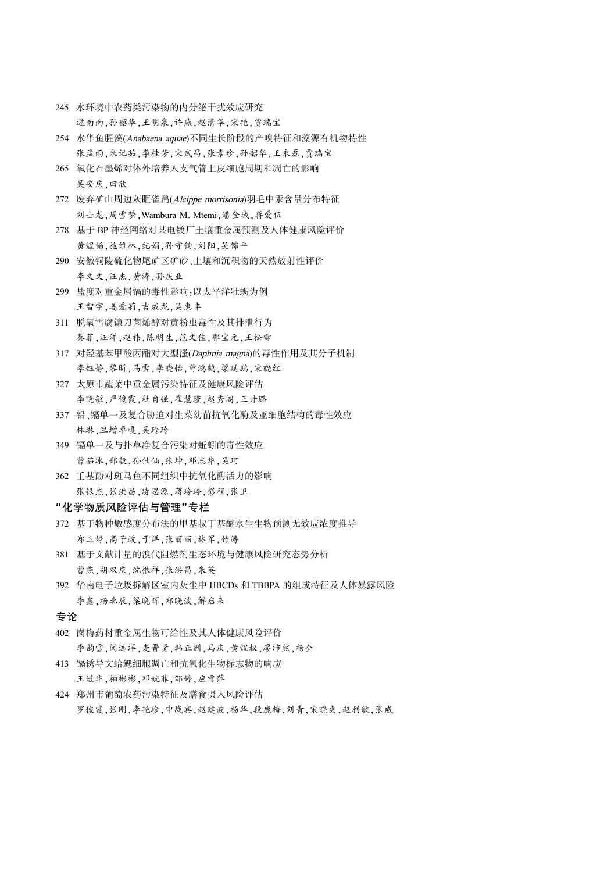- 245 水环境中农药类污染物的内分泌干扰效应研究 逯南南,孙韶华,王明泉,许燕,赵清华,宋艳,贾瑞宝
- 254 水华鱼腥藻(Anabaena aquae)不同生长阶段的产嗅特征和藻源有机物特性 张孟雨,米记茹,李桂芳,宋武昌,张素珍,孙韶华,王永磊,贾瑞宝
- 265 氧化石墨烯对体外培养人支气管上皮细胞周期和凋亡的影响 吴安庆,田欣
- 272 废弃矿山周边灰眶雀鹛(Alcippe morrisonia)羽毛中汞含量分布特征 刘士龙,周雪梦,Wambura M. Mtemi,潘金城,蒋爱伍
- 278 基于 BP 神经网络对某电镀厂土壤重金属预测及人体健康风险评价 黄煜韬,施维林,纪娟,孙守钧,刘阳,吴锦平
- 290 安徽铜陵硫化物尾矿区矿砂、土壤和沉积物的天然放射性评价 李文文,汪杰,黄涛,孙庆业
- 299 盐度对重金属镉的毒性影响:以太平洋牡蛎为例 王智宇,姜爱莉,吉成龙,吴惠丰
- 311 脱氧雪腐镰刀菌烯醇对黄粉虫毒性及其排泄行为 秦菲,汪洋,赵祎,陈明生,范文佳,郭宝元,王松雪
- 317 对羟基苯甲酸丙酯对大型溞(Daphnia magna)的毒性作用及其分子机制 李钰静,黎昕,马雲,李晓怡,曾鸿鹄,梁延鹏,宋晓红
- 327 太原市蔬菜中重金属污染特征及健康风险评估 李晓敏,严俊霞,杜自强,崔慧瑾,赵秀阁,王丹璐
- 337 铅、镉单一及复合胁迫对生菜幼苗抗氧化酶及亚细胞结构的毒性效应 林琳,旦增卓嘎,吴玲玲
- 349 镉单一及与扑草净复合污染对蚯蚓的毒性效应 曹茹冰,郑毅,孙仕仙,张坤,邓志华,吴珂
- 362 壬基酚对斑马鱼不同组织中抗氧化酶活力的影响 张银杰,张洪昌,凌思源,蒋玲玲,彭程,张卫

## "化学物质风险评估与管理"专栏

- 372 基于物种敏感度分布法的甲基叔丁基醚水生生物预测无效应浓度推导 郑玉婷,高子竣,于洋,张丽丽,林军,竹涛
- 381 基于文献计量的溴代阻燃剂生态环境与健康风险研究态势分析 曹燕,胡双庆,沈根祥,张洪昌,朱英
- 392 华南电子垃圾拆解区室内灰尘中 HBCDs 和 TBBPA 的组成特征及人体暴露风险 李鑫,杨北辰,梁晓晖,郑晓波,解启来

## 专论

- 402 岗梅药材重金属生物可给性及其人体健康风险评价 李韵雪,闵远洋,麦晋贤,韩正洲,马庆,黄煜权,廖沛然,杨全
- 413 镉诱导文蛤鳃细胞凋亡和抗氧化生物标志物的响应 王进华,柏彬彬,邓婉菲,邹婷,应雪萍
- 424 郑州市葡萄农药污染特征及膳食摄入风险评估 罗俊霞,张刚,李艳珍,申战宾,赵建波,杨华,段鹿梅,刘青,宋晓爽,赵利敏,张威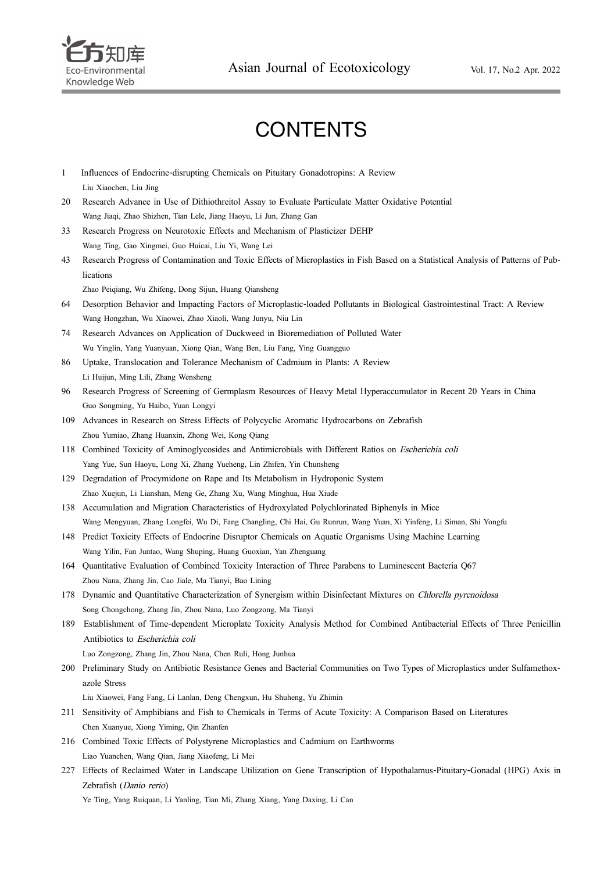

## **CONTENTS**

- 1 Influences of Endocrine-disrupting Chemicals on Pituitary Gonadotropins: A Review Liu Xiaochen, Liu Jing
- 20 Research Advance in Use of Dithiothreitol Assay to Evaluate Particulate Matter Oxidative Potential Wang Jiaqi, Zhao Shizhen, Tian Lele, Jiang Haoyu, Li Jun, Zhang Gan
- 33 Research Progress on Neurotoxic Effects and Mechanism of Plasticizer DEHP Wang Ting, Gao Xingmei, Guo Huicai, Liu Yi, Wang Lei
- 43 Research Progress of Contamination and Toxic Effects of Microplastics in Fish Based on a Statistical Analysis of Patterns of Publications

Zhao Peiqiang, Wu Zhifeng, Dong Sijun, Huang Qiansheng

- 64 Desorption Behavior and Impacting Factors of Microplastic-loaded Pollutants in Biological Gastrointestinal Tract: A Review Wang Hongzhan, Wu Xiaowei, Zhao Xiaoli, Wang Junyu, Niu Lin
- 74 Research Advances on Application of Duckweed in Bioremediation of Polluted Water Wu Yinglin, Yang Yuanyuan, Xiong Qian, Wang Ben, Liu Fang, Ying Guangguo
- 86 Uptake, Translocation and Tolerance Mechanism of Cadmium in Plants: A Review Li Huijun, Ming Lili, Zhang Wensheng
- 96 Research Progress of Screening of Germplasm Resources of Heavy Metal Hyperaccumulator in Recent 20 Years in China Guo Songming, Yu Haibo, Yuan Longyi
- 109 Advances in Research on Stress Effects of Polycyclic Aromatic Hydrocarbons on Zebrafish Zhou Yumiao, Zhang Huanxin, Zhong Wei, Kong Qiang
- 118 Combined Toxicity of Aminoglycosides and Antimicrobials with Different Ratios on Escherichia coli Yang Yue, Sun Haoyu, Long Xi, Zhang Yueheng, Lin Zhifen, Yin Chunsheng
- 129 Degradation of Procymidone on Rape and Its Metabolism in Hydroponic System Zhao Xuejun, Li Lianshan, Meng Ge, Zhang Xu, Wang Minghua, Hua Xiude
- 138 Accumulation and Migration Characteristics of Hydroxylated Polychlorinated Biphenyls in Mice Wang Mengyuan, Zhang Longfei, Wu Di, Fang Changling, Chi Hai, Gu Runrun, Wang Yuan, Xi Yinfeng, Li Siman, Shi Yongfu
- 148 Predict Toxicity Effects of Endocrine Disruptor Chemicals on Aquatic Organisms Using Machine Learning Wang Yilin, Fan Juntao, Wang Shuping, Huang Guoxian, Yan Zhenguang
- 164 Quantitative Evaluation of Combined Toxicity Interaction of Three Parabens to Luminescent Bacteria Q67 Zhou Nana, Zhang Jin, Cao Jiale, Ma Tianyi, Bao Lining
- 178 Dynamic and Quantitative Characterization of Synergism within Disinfectant Mixtures on Chlorella pyrenoidosa Song Chongchong, Zhang Jin, Zhou Nana, Luo Zongzong, Ma Tianyi
- 189 Establishment of Time-dependent Microplate Toxicity Analysis Method for Combined Antibacterial Effects of Three Penicillin Antibiotics to Escherichia coli

Luo Zongzong, Zhang Jin, Zhou Nana, Chen Ruli, Hong Junhua

200 Preliminary Study on Antibiotic Resistance Genes and Bacterial Communities on Two Types of Microplastics under Sulfamethoxazole Stress

Liu Xiaowei, Fang Fang, Li Lanlan, Deng Chengxun, Hu Shuheng, Yu Zhimin

- 211 Sensitivity of Amphibians and Fish to Chemicals in Terms of Acute Toxicity: A Comparison Based on Literatures Chen Xuanyue, Xiong Yiming, Qin Zhanfen
- 216 Combined Toxic Effects of Polystyrene Microplastics and Cadmium on Earthworms Liao Yuanchen, Wang Qian, Jiang Xiaofeng, Li Mei
- 227 Effects of Reclaimed Water in Landscape Utilization on Gene Transcription of Hypothalamus-Pituitary-Gonadal (HPG) Axis in Zebrafish (Danio rerio)

Ye Ting, Yang Ruiquan, Li Yanling, Tian Mi, Zhang Xiang, Yang Daxing, Li Can